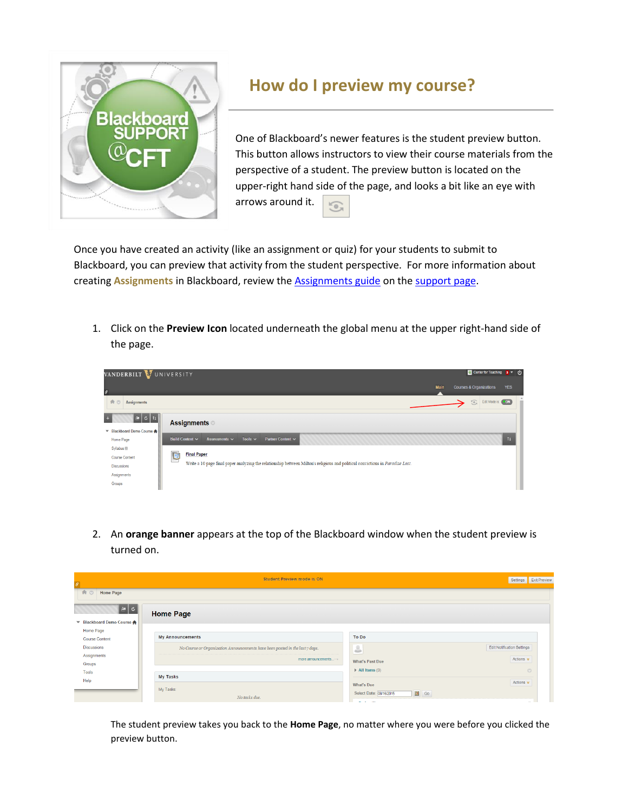

## **How do I preview my course?**

One of Blackboard's newer features is the student preview button. This button allows instructors to view their course materials from the perspective of a student. The preview button is located on the upper-right hand side of the page, and looks a bit like an eye with arrows around it.

Once you have created an activity (like an assignment or quiz) for your students to submit to Blackboard, you can preview that activity from the student perspective. For more information about creating **Assignments** in Blackboard, review the [Assignments guide](https://my.vanderbilt.edu/blackboard/files/2015/08/Working-with-Assignments-R01-SMJ-version-2.pdf) on the [support page.](https://my.vanderbilt.edu/blackboard/blackboard-support/)

1. Click on the **Preview Icon** located underneath the global menu at the upper right-hand side of the page.

| VANDERBILT VUNIVERSITY<br>$\mathcal{L}$ | Center for Teaching $\overline{a}$ $\overline{v}$ (1)<br>Main<br><b>Courses &amp; Organizations</b><br><b>YES</b>             |  |
|-----------------------------------------|-------------------------------------------------------------------------------------------------------------------------------|--|
| 合口<br><b>Assignments</b>                | <b>Condition Edit Mode is:</b> ON                                                                                             |  |
| $ \mathbf{e} \mathbf{c} $ ti $ $        | <b>Assignments</b>                                                                                                            |  |
| ▼ Blackboard Demo Course ★              |                                                                                                                               |  |
| Home Page                               | Tools $\sim$<br>Partner Content v<br>11<br><b>Build Content ~</b><br>Assessments v                                            |  |
| Syllabus III                            |                                                                                                                               |  |
| <b>Course Content</b>                   | <b>Final Paper</b>                                                                                                            |  |
| <b>Discussions</b>                      | Write a 10 page final paper analyzing the relationship between Milton's religious and political convictions in Paradise Lost. |  |
| Assignments                             |                                                                                                                               |  |
| Groups                                  |                                                                                                                               |  |

2. An **orange banner** appears at the top of the Blackboard window when the student preview is turned on.

|                              | <b>Student Preview mode is ON</b>                                            |                                                                                   | Settings Exit Preview             |
|------------------------------|------------------------------------------------------------------------------|-----------------------------------------------------------------------------------|-----------------------------------|
| <b>合</b><br><b>Home Page</b> |                                                                              |                                                                                   |                                   |
| ∣≝ c                         | <b>Home Page</b>                                                             |                                                                                   |                                   |
| ▼ Blackboard Demo Course ★   |                                                                              |                                                                                   |                                   |
| Home Page                    |                                                                              |                                                                                   |                                   |
| <b>Course Content</b>        | <b>My Announcements</b>                                                      | To Do                                                                             |                                   |
| <b>Discussions</b>           | No Course or Organization Announcements have been posted in the last 7 days. | L                                                                                 | <b>Edit Notification Settings</b> |
| Assignments                  | more announcements $\rightarrow$                                             | -                                                                                 | Actions $\ast$                    |
| Groups                       |                                                                              | <b>What's Past Due</b>                                                            |                                   |
| Tools                        |                                                                              | $\triangleright$ All Items (0)                                                    | $\circledcirc$                    |
| Help                         | <b>My Tasks</b>                                                              |                                                                                   | Actions $*$                       |
|                              | My Tasks:<br>No tasks due.                                                   | <b>What's Due</b><br>Go<br>Select Date: 08/16/2015<br><b>Service Construction</b> |                                   |

The student preview takes you back to the **Home Page**, no matter where you were before you clicked the preview button.